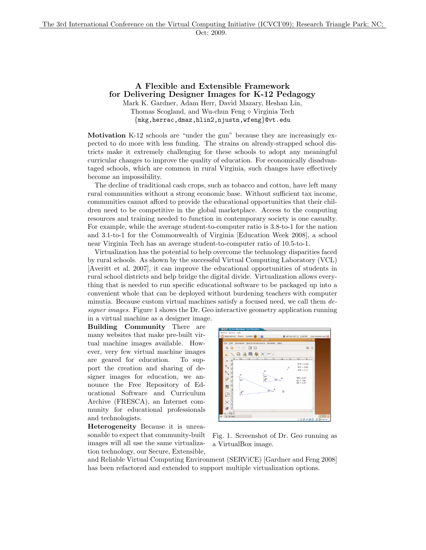## A Flexible and Extensible Framework for Delivering Designer Images for K-12 Pedagogy Mark K. Gardner, Adam Herr, David Mazary, Heshan Lin,

Thomas Scogland, and Wu-chun Feng  $\diamond$  Virginia Tech {mkg,herrac,dmaz,hlin2,njustn,wfeng}@vt.edu

Motivation K-12 schools are "under the gun" because they are increasingly expected to do more with less funding. The strains on already-strapped school districts make it extremely challenging for these schools to adopt any meaningful curricular changes to improve the quality of education. For economically disadvantaged schools, which are common in rural Virginia, such changes have effectively become an impossibility.

The decline of traditional cash crops, such as tobacco and cotton, have left many rural communities without a strong economic base. Without sufficient tax income, communities cannot afford to provide the educational opportunities that their children need to be competitive in the global marketplace. Access to the computing resources and training needed to function in contemporary society is one casualty. For example, while the average student-to-computer ratio is 3.8-to-1 for the nation and 3.1-to-1 for the Commonwealth of Virginia [Education Week 2008], a school near Virginia Tech has an average student-to-computer ratio of 10.5-to-1.

Virtualization has the potential to help overcome the technology disparities faced by rural schools. As shown by the successful Virtual Computing Laboratory (VCL) [Averitt et al. 2007], it can improve the educational opportunities of students in rural school districts and help bridge the digital divide. Virtualization allows everything that is needed to run specific educational software to be packaged up into a convenient whole that can be deployed without burdening teachers with computer minutia. Because custom virtual machines satisfy a focused need, we call them *designer images*. Figure 1 shows the Dr. Geo interactive geometry application running in a virtual machine as a designer image.

Building Community There are many websites that make pre-built virtual machine images available. However, very few virtual machine images are geared for education. To support the creation and sharing of designer images for education, we announce the Free Repository of Educational Software and Curriculum Archive (FRESCA), an Internet community for educational professionals and technologists.

Heterogeneity Because it is unreasonable to expect that community-built images will all use the same virtualization technology, our Secure, Extensible,



Fig. 1. Screenshot of Dr. Geo running as a VirtualBox image.

and Reliable Virtual Computing Environment (SERViCE) [Gardner and Feng 2008] has been refactored and extended to support multiple virtualization options.